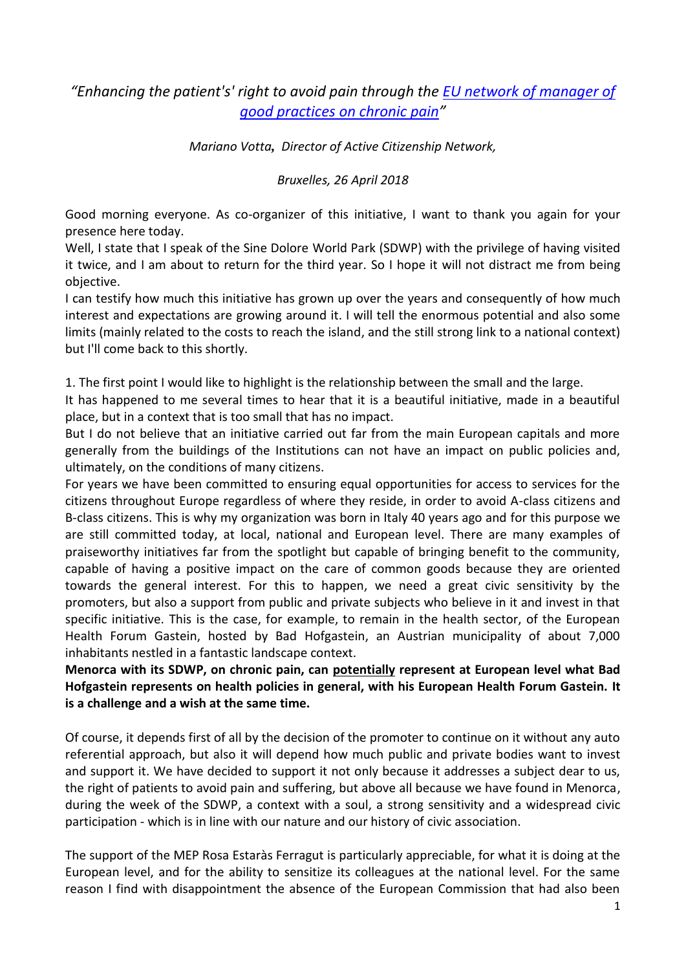## *"Enhancing the patient's' right to avoid pain through the [EU network of manager of](http://activecitizenship.net/patients-rights/projects/236-pain-euro-mediterranean-coalition.html)  [good practices on chronic pain](http://activecitizenship.net/patients-rights/projects/236-pain-euro-mediterranean-coalition.html)"*

*Mariano Votta, Director of Active Citizenship Network,*

*Bruxelles, 26 April 2018*

Good morning everyone. As co-organizer of this initiative, I want to thank you again for your presence here today.

Well, I state that I speak of the Sine Dolore World Park (SDWP) with the privilege of having visited it twice, and I am about to return for the third year. So I hope it will not distract me from being objective.

I can testify how much this initiative has grown up over the years and consequently of how much interest and expectations are growing around it. I will tell the enormous potential and also some limits (mainly related to the costs to reach the island, and the still strong link to a national context) but I'll come back to this shortly.

1. The first point I would like to highlight is the relationship between the small and the large.

It has happened to me several times to hear that it is a beautiful initiative, made in a beautiful place, but in a context that is too small that has no impact.

But I do not believe that an initiative carried out far from the main European capitals and more generally from the buildings of the Institutions can not have an impact on public policies and, ultimately, on the conditions of many citizens.

For years we have been committed to ensuring equal opportunities for access to services for the citizens throughout Europe regardless of where they reside, in order to avoid A-class citizens and B-class citizens. This is why my organization was born in Italy 40 years ago and for this purpose we are still committed today, at local, national and European level. There are many examples of praiseworthy initiatives far from the spotlight but capable of bringing benefit to the community, capable of having a positive impact on the care of common goods because they are oriented towards the general interest. For this to happen, we need a great civic sensitivity by the promoters, but also a support from public and private subjects who believe in it and invest in that specific initiative. This is the case, for example, to remain in the health sector, of the European Health Forum Gastein, hosted by Bad Hofgastein, an Austrian municipality of about 7,000 inhabitants nestled in a fantastic landscape context.

**Menorca with its SDWP, on chronic pain, can potentially represent at European level what Bad Hofgastein represents on health policies in general, with his European Health Forum Gastein. It is a challenge and a wish at the same time.**

Of course, it depends first of all by the decision of the promoter to continue on it without any auto referential approach, but also it will depend how much public and private bodies want to invest and support it. We have decided to support it not only because it addresses a subject dear to us, the right of patients to avoid pain and suffering, but above all because we have found in Menorca, during the week of the SDWP, a context with a soul, a strong sensitivity and a widespread civic participation - which is in line with our nature and our history of civic association.

The support of the MEP Rosa Estaràs Ferragut is particularly appreciable, for what it is doing at the European level, and for the ability to sensitize its colleagues at the national level. For the same reason I find with disappointment the absence of the European Commission that had also been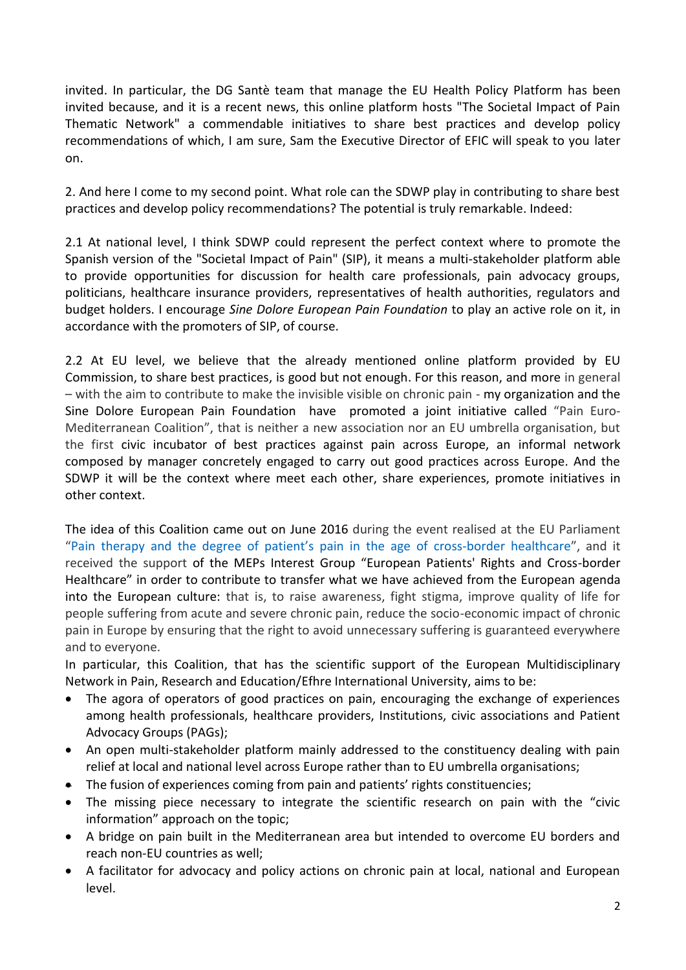invited. In particular, the DG Santè team that manage the EU Health Policy Platform has been invited because, and it is a recent news, this online platform hosts "The Societal Impact of Pain Thematic Network" a commendable initiatives to share best practices and develop policy recommendations of which, I am sure, Sam the Executive Director of EFIC will speak to you later on.

2. And here I come to my second point. What role can the SDWP play in contributing to share best practices and develop policy recommendations? The potential is truly remarkable. Indeed:

2.1 At national level, I think SDWP could represent the perfect context where to promote the Spanish version of the "Societal Impact of Pain" (SIP), it means a multi-stakeholder platform able to provide opportunities for discussion for health care professionals, pain advocacy groups, politicians, healthcare insurance providers, representatives of health authorities, regulators and budget holders. I encourage *Sine Dolore European Pain Foundation* to play an active role on it, in accordance with the promoters of SIP, of course.

2.2 At EU level, we believe that the already mentioned online platform provided by EU Commission, to share best practices, is good but not enough. For this reason, and more in general – with the aim to contribute to make the invisible visible on chronic pain - my organization and the Sine Dolore European Pain Foundation have promoted a joint initiative called "Pain Euro-Mediterranean Coalition", that is neither a new association nor an EU umbrella organisation, but the first civic incubator of best practices against pain across Europe, an informal network composed by manager concretely engaged to carry out good practices across Europe. And the SDWP it will be the context where meet each other, share experiences, promote initiatives in other context.

The idea of this Coalition came out on June 2016 during the event realised at the EU Parliament "Pain therapy and the degree of patient's pain in the age of [cross-border](http://www.interestgroup.activecitizenship.net/115-june-21st2016-pain-therapy-and-the-degree-of-patient-s-pain-in-the-age-of-cross-border-healthcare.html) healthcare", and it received the support of the MEPs Interest Group "European Patients' Rights and Cross-border Healthcare" in order to contribute to transfer what we have achieved from the European agenda into the European culture: that is, to raise awareness, fight stigma, improve quality of life for people suffering from acute and severe chronic pain, reduce the socio-economic impact of chronic pain in Europe by ensuring that the right to avoid unnecessary suffering is guaranteed everywhere and to everyone.

In particular, this Coalition, that has the scientific support of the European Multidisciplinary Network in Pain, Research and Education/Efhre [International University,](http://eiu.edu.bz/) aims to be:

- The agora of operators of good practices on pain, encouraging the exchange of experiences among health professionals, healthcare providers, Institutions, civic associations and Patient Advocacy Groups (PAGs);
- An open multi-stakeholder platform mainly addressed to the constituency dealing with pain relief at local and national level across Europe rather than to EU umbrella organisations;
- The fusion of experiences coming from pain and patients' rights constituencies;
- The missing piece necessary to integrate the scientific research on pain with the "civic information" approach on the topic;
- A bridge on pain built in the Mediterranean area but intended to overcome EU borders and reach non-EU countries as well;
- A facilitator for advocacy and policy actions on chronic pain at local, national and European level.